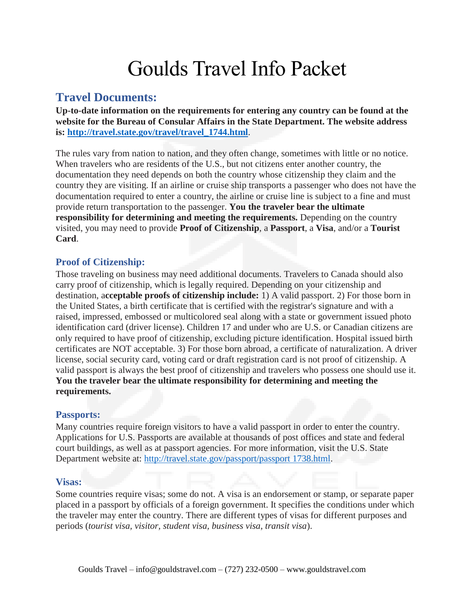# Goulds Travel Info Packet

## **Travel Documents:**

**Up-to-date information on the requirements for entering any country can be found at the website for the Bureau of Consular Affairs in the State Department. The website address is: [http://travel.state.gov/travel/travel\\_1744.html](http://travel.state.gov/travel/travel_1744.html)**.

The rules vary from nation to nation, and they often change, sometimes with little or no notice. When travelers who are residents of the U.S., but not citizens enter another country, the documentation they need depends on both the country whose citizenship they claim and the country they are visiting. If an airline or cruise ship transports a passenger who does not have the documentation required to enter a country, the airline or cruise line is subject to a fine and must provide return transportation to the passenger. **You the traveler bear the ultimate responsibility for determining and meeting the requirements.** Depending on the country visited, you may need to provide **Proof of Citizenship**, a **Passport**, a **Visa**, and/or a **Tourist Card**.

#### **Proof of Citizenship:**

Those traveling on business may need additional documents. Travelers to Canada should also carry proof of citizenship, which is legally required. Depending on your citizenship and destination, a**cceptable proofs of citizenship include:** 1) A valid passport. 2) For those born in the United States, a birth certificate that is certified with the registrar's signature and with a raised, impressed, embossed or multicolored seal along with a state or government issued photo identification card (driver license). Children 17 and under who are U.S. or Canadian citizens are only required to have proof of citizenship, excluding picture identification. Hospital issued birth certificates are NOT acceptable. 3) For those born abroad, a certificate of naturalization. A driver license, social security card, voting card or draft registration card is not proof of citizenship. A valid passport is always the best proof of citizenship and travelers who possess one should use it. **You the traveler bear the ultimate responsibility for determining and meeting the requirements.**

#### **Passports:**

Many countries require foreign visitors to have a valid passport in order to enter the country. Applications for U.S. Passports are available at thousands of post offices and state and federal court buildings, as well as at passport agencies. For more information, visit the U.S. State Department website at: [http://travel.state.gov/passport/passport 1738.html.](http://travel.state.gov/passport/passport%201738.html)

#### **Visas:**

Some countries require visas; some do not. A visa is an endorsement or stamp, or separate paper placed in a passport by officials of a foreign government. It specifies the conditions under which the traveler may enter the country. There are different types of visas for different purposes and periods (*tourist visa, visitor, student visa, business visa, transit visa*).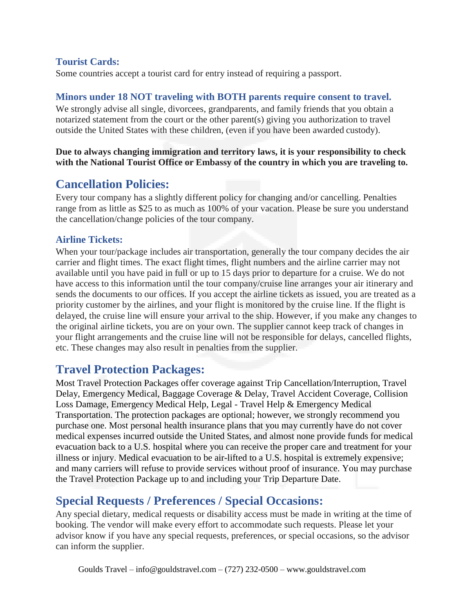## **Tourist Cards:**

Some countries accept a tourist card for entry instead of requiring a passport.

## **Minors under 18 NOT traveling with BOTH parents require consent to travel.**

We strongly advise all single, divorcees, grandparents, and family friends that you obtain a notarized statement from the court or the other parent(s) giving you authorization to travel outside the United States with these children, (even if you have been awarded custody).

**Due to always changing immigration and territory laws, it is your responsibility to check with the National Tourist Office or Embassy of the country in which you are traveling to.**

# **Cancellation Policies:**

Every tour company has a slightly different policy for changing and/or cancelling. Penalties range from as little as \$25 to as much as 100% of your vacation. Please be sure you understand the cancellation/change policies of the tour company.

## **Airline Tickets:**

When your tour/package includes air transportation, generally the tour company decides the air carrier and flight times. The exact flight times, flight numbers and the airline carrier may not available until you have paid in full or up to 15 days prior to departure for a cruise. We do not have access to this information until the tour company/cruise line arranges your air itinerary and sends the documents to our offices. If you accept the airline tickets as issued, you are treated as a priority customer by the airlines, and your flight is monitored by the cruise line. If the flight is delayed, the cruise line will ensure your arrival to the ship. However, if you make any changes to the original airline tickets, you are on your own. The supplier cannot keep track of changes in your flight arrangements and the cruise line will not be responsible for delays, cancelled flights, etc. These changes may also result in penalties from the supplier.

## **Travel Protection Packages:**

Most Travel Protection Packages offer coverage against Trip Cancellation/Interruption, Travel Delay, Emergency Medical, Baggage Coverage & Delay, Travel Accident Coverage, Collision Loss Damage, Emergency Medical Help, Legal - Travel Help & Emergency Medical Transportation. The protection packages are optional; however, we strongly recommend you purchase one. Most personal health insurance plans that you may currently have do not cover medical expenses incurred outside the United States, and almost none provide funds for medical evacuation back to a U.S. hospital where you can receive the proper care and treatment for your illness or injury. Medical evacuation to be air-lifted to a U.S. hospital is extremely expensive; and many carriers will refuse to provide services without proof of insurance. You may purchase the Travel Protection Package up to and including your Trip Departure Date.

# **Special Requests / Preferences / Special Occasions:**

Any special dietary, medical requests or disability access must be made in writing at the time of booking. The vendor will make every effort to accommodate such requests. Please let your advisor know if you have any special requests, preferences, or special occasions, so the advisor can inform the supplier.